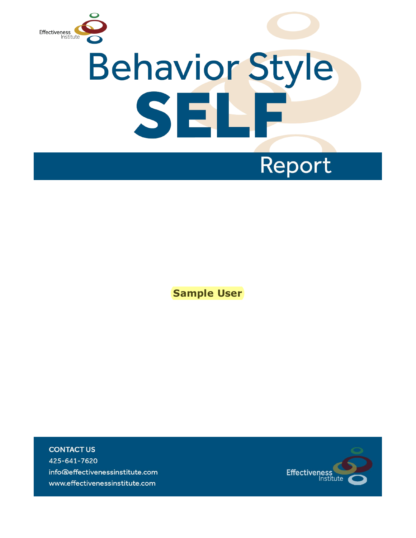

# **Behavior Style** SELF

## Report

**Sample User**

**CONTACT US** 425-641-7620 info@effectivenessinstitute.com www.effectivenessinstitute.com

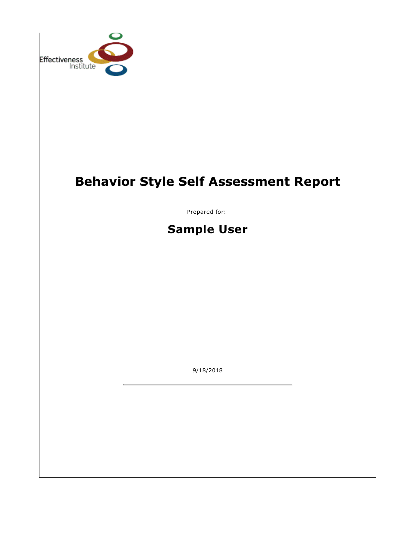

### **Behavior Style Self Assessment Report**

Prepared for:

**Sample User**

9/18/2018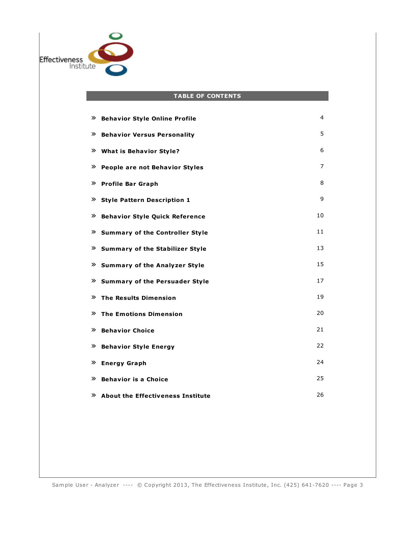

#### **TABLE OF CONTENTS**

| ≫<br><b>Behavior Style Online Profile</b>   | 4  |
|---------------------------------------------|----|
| <b>Behavior Versus Personality</b><br>≫     | 5  |
| ≫<br><b>What is Behavior Style?</b>         | 6  |
| ≫<br>People are not Behavior Styles         | 7  |
| <b>Profile Bar Graph</b><br>≫               | 8  |
| ≫<br><b>Style Pattern Description 1</b>     | 9  |
| ≫<br><b>Behavior Style Quick Reference</b>  | 10 |
| ≫<br><b>Summary of the Controller Style</b> | 11 |
| » Summary of the Stabilizer Style           | 13 |
| » Summary of the Analyzer Style             | 15 |
| ≫<br><b>Summary of the Persuader Style</b>  | 17 |
| ≫<br><b>The Results Dimension</b>           | 19 |
| <b>The Emotions Dimension</b><br>≫          | 20 |
| <b>Behavior Choice</b><br>≫                 | 21 |
| <b>Behavior Style Energy</b><br>≫           | 22 |
| <b>Energy Graph</b><br>≫                    | 24 |
| <b>Behavior is a Choice</b><br>≫            | 25 |
| $\lambda$ About the Effectiveness Institute | 26 |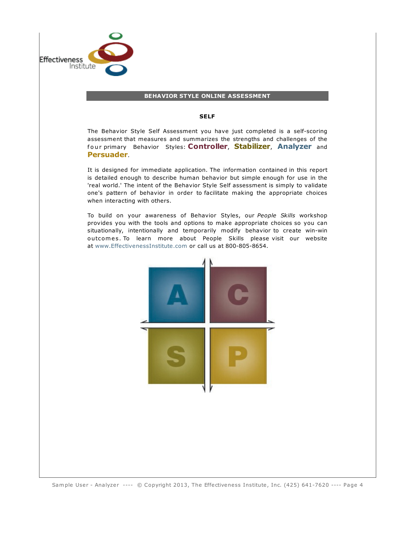

#### **BEHAVIOR STYLE ONLINE ASSESSMENT**

#### **SELF**

The Behavior Style Self Assessment you have just completed is a self-scoring assessment that measures and summarizes the strengths and challenges of the four primary Behavior Styles: **Controller, Stabilizer, Analyzer** and **Persuader**.

It is designed for immediate application. The information contained in this report is detailed enough to describe human behavior but simple enough for use in the 'real world.' The intent of the Behavior Style Self assessment is simply to validate one's pattern of behavior in order to facilitate making the appropriate choices when interacting with others.

To build on your awareness of Behavior Styles, our *People Skills* workshop provides you with the tools and options to make appropriate choices so you can situationally, intentionally and temporarily modify behavior to create win-win outcomes. To learn more about People Skills please visit our website at [www.EffectivenessInstitute.com](http://www.effectivenessinstitute.com) or call us at 800-805-8654.

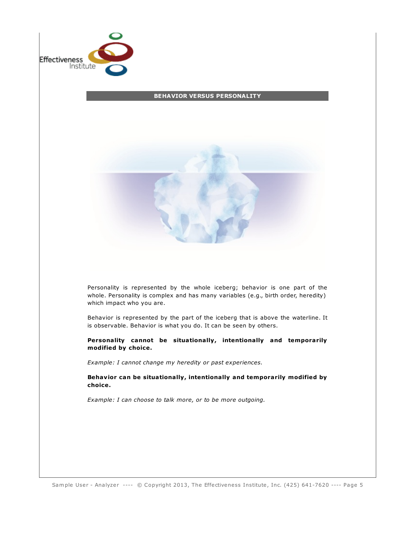

#### **BEHAVIOR VERSUS PERSONALITY**



Personality is represented by the whole iceberg; behavior is one part of the whole. Personality is complex and has many variables (e.g., birth order, heredity) which impact who you are.

Behavior is represented by the part of the iceberg that is above the waterline. It is observable. Behavior is what you do. It can be seen by others.

**Personality cannot be situationally, intentionally and temporarily modified by choice.**

*Example: I cannot change my heredity or past experiences.*

**Behavior can be situationally, intentionally and temporarily modified by choice.**

*Example: I can choose to talk more, or to be more outgoing.*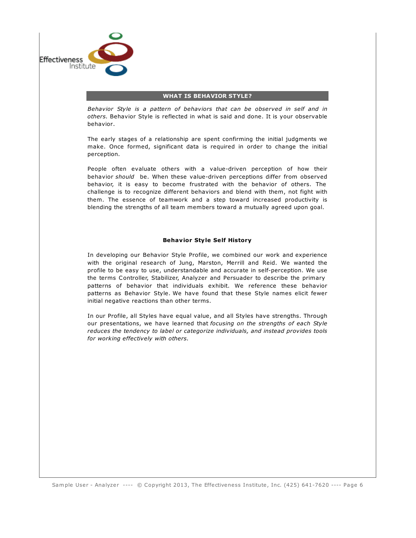

#### **WHAT IS BEHAVIOR STYLE?**

*Behavior Style is a pattern of behaviors that can be observed in self and in others.* Behavior Style is reflected in what is said and done. It is your observable behavior.

The early stages of a relationship are spent confirming the initial judgments we make. Once formed, significant data is required in order to change the initial perception.

People often evaluate others with a value-driven perception of how their behavior *should* be. When these value-driven perceptions differ from observed behavior, it is easy to become frustrated with the behavior of others. The challenge is to recognize different behaviors and blend with them, not fight with them. The essence of teamwork and a step toward increased productivity is blending the strengths of all team members toward a mutually agreed upon goal.

#### **Behavior Style Self History**

In developing our Behavior Style Profile, we combined our work and experience with the original research of Jung, Marston, Merrill and Reid. We wanted the profile to be easy to use, understandable and accurate in self-perception. We use the terms Controller, Stabilizer, Analyzer and Persuader to describe the primary patterns of behavior that individuals exhibit. We reference these behavior patterns as Behavior Style. We have found that these Style names elicit fewer initial negative reactions than other terms.

In our Profile, all Styles have equal value, and all Styles have strengths. Through our presentations, we have learned that *focusing on the strengths of each Style reduces the tendency to label or categorize individuals, and instead provides tools for working effectively with others.*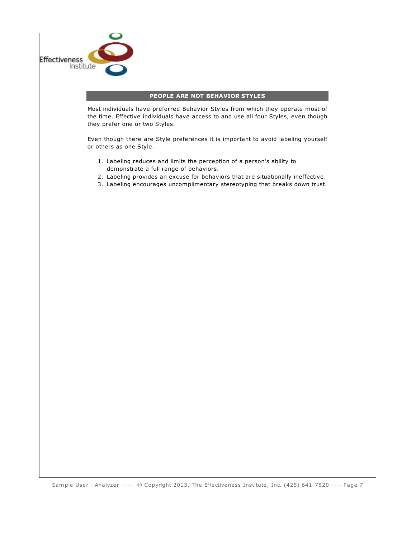

#### **PEOPLE ARE NOT BEHAVIOR STYLES**

Most individuals have preferred Behavior Styles from which they operate most of the time. Effective individuals have access to and use all four Styles, even though they prefer one or two Styles.

Even though there are Style preferences it is important to avoid labeling yourself or others as one Style.

- 1. Labeling reduces and limits the perception of a person's ability to demonstrate a full range of behaviors.
- 2. Labeling provides an excuse for behaviors that are situationally ineffective.
- 3. Labeling encourages uncomplimentary stereotyping that breaks down trust.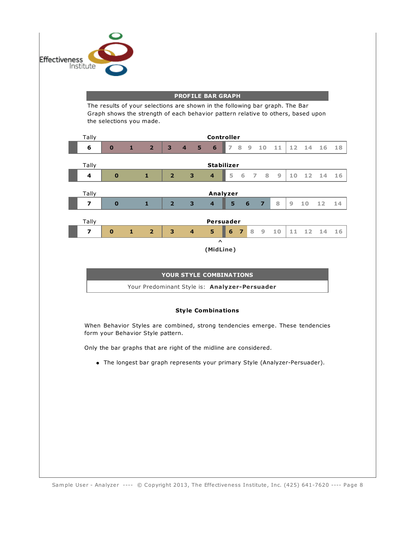

#### **PROFILE BAR GRAPH**

The results of your selections are shown in the following bar graph. The Bar Graph shows the strength of each behavior pattern relative to others, based upon the selections you made.



**(MidLine)**

#### **YOUR STYLE COMBINATIONS**

Your Predominant Style is: **Analyzer-Persuader**

#### **Style Combinations**

When Behavior Styles are combined, strong tendencies emerge. These tendencies form your Behavior Style pattern.

Only the bar graphs that are right of the midline are considered.

The longest bar graph represents your primary Style (Analyzer-Persuader).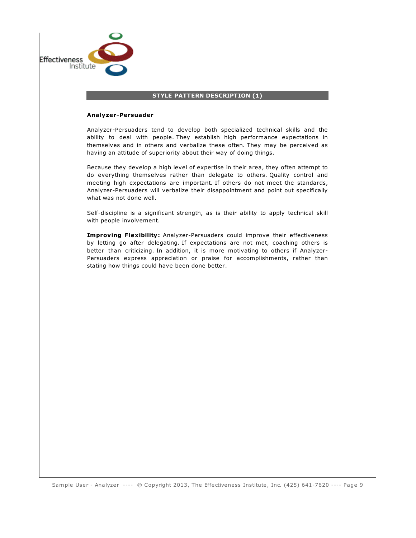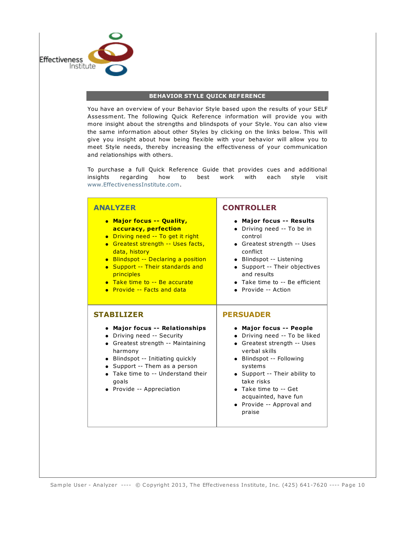

#### **BEHAVIOR STYLE QUICK REFERENCE**

You have an overview of your Behavior Style based upon the results of your SELF Assessment. The following Quick Reference information will provide you with more insight about the strengths and blindspots of your Style. You can also view the same information about other Styles by clicking on the links below. This will give you insight about how being flexible with your behavior will allow you to meet Style needs, thereby increasing the effectiveness of your communication and relationships with others.

To purchase a full Quick Reference Guide that provides cues and additional insights regarding how to best work with each style visit [www.EffectivenessInstitute.com.](https://www.effectivenessinstitute.com/store/index.php?main_page=index&cPath=3)

#### **ANALYZER**

- **Major focus -- Quality, accuracy, perfection** • Driving need -- To get it right **Greatest strength -- Uses facts,** data, history • Blindspot -- Declaring a position • Support -- Their standards and **principles Take time to -- Be accurate** 
	- **•** Provide -- Facts and data

#### **STABILIZER**

- **Major focus -- Relationships**
- Driving need -- Security
- Greatest strength -- Maintaining harmony
- Blindspot -- Initiating quickly
- Support -- Them as a person
- Take time to -- Understand their goals
- Provide -- Appreciation

#### **CONTROLLER**

- **Major focus -- Results**
- Driving need -- To be in control
- Greatest strength -- Uses conflict
- Blindspot -- Listening
- Support -- Their objectives and results
- Take time to -- Be efficient
- Provide -- Action

#### **PERSUADER**

- **Major focus -- People**
- Driving need -- To be liked
- Greatest strength -- Uses verbal skills
- Blindspot -- Following systems
- Support -- Their ability to take risks
- Take time to -- Get acquainted, have fun
- Provide -- Approval and praise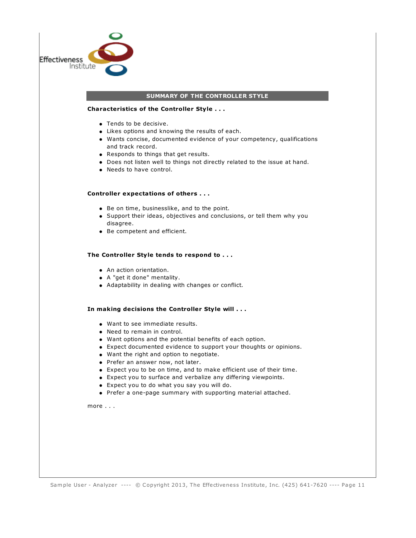

Sample User - Analyzer ---- © Copyright 2013, The Effectiveness Institute, Inc. (425) 641-7620 ---- Page 11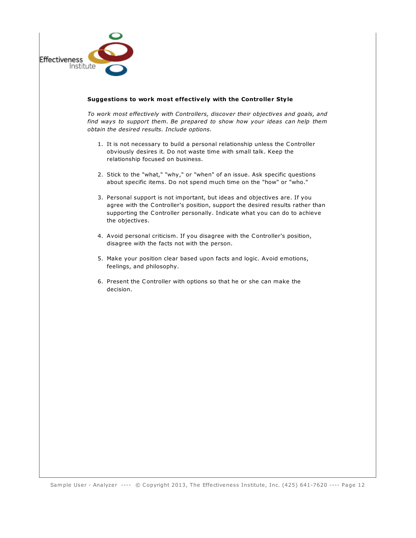

#### **Suggestions to work most effectively with the Controller Style**

*To work most effectively with Controllers, discover their objectives and goals, and find ways to support them. Be prepared to show how your ideas can help them obtain the desired results. Include options.*

- 1. It is not necessary to build a personal relationship unless the Controller obviously desires it. Do not waste time with small talk. Keep the relationship focused on business.
- 2. Stick to the "what," "why," or "when" of an issue. Ask specific questions about specific items. Do not spend much time on the "how" or "who."
- 3. Personal support is not important, but ideas and objectives are. If you agree with the Controller's position, support the desired results rather than supporting the Controller personally. Indicate what you can do to achieve the objectives.
- 4. Avoid personal criticism. If you disagree with the Controller's position, disagree with the facts not with the person.
- 5. Make your position clear based upon facts and logic. Avoid emotions, feelings, and philosophy.
- 6. Present the Controller with options so that he or she can make the decision.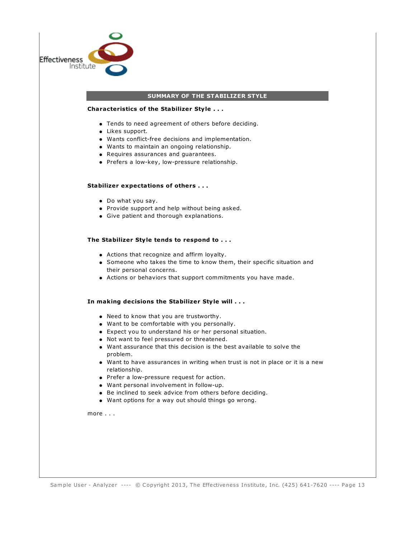

#### **SUMMARY OF THE STABILIZER STYLE**

#### **Characteristics of the Stabilizer Style . . .**

- Tends to need agreement of others before deciding.
- Likes support.
- Wants conflict-free decisions and implementation.
- Wants to maintain an ongoing relationship.
- Requires assurances and guarantees.
- Prefers a low-key, low-pressure relationship.

#### **Stabilizer expectations of others . . .**

- Do what you say.
- Provide support and help without being asked.
- Give patient and thorough explanations.

#### **The Stabilizer Style tends to respond to . . .**

- Actions that recognize and affirm loyalty.
- Someone who takes the time to know them, their specific situation and their personal concerns.
- Actions or behaviors that support commitments you have made.

#### **In making decisions the Stabilizer Style will . . .**

- Need to know that you are trustworthy.
- Want to be comfortable with you personally.
- Expect you to understand his or her personal situation.
- Not want to feel pressured or threatened.
- Want assurance that this decision is the best available to solve the problem.
- Want to have assurances in writing when trust is not in place or it is a new relationship.
- Prefer a low-pressure request for action.
- Want personal involvement in follow-up.
- Be inclined to seek advice from others before deciding.
- Want options for a way out should things go wrong.

more . . .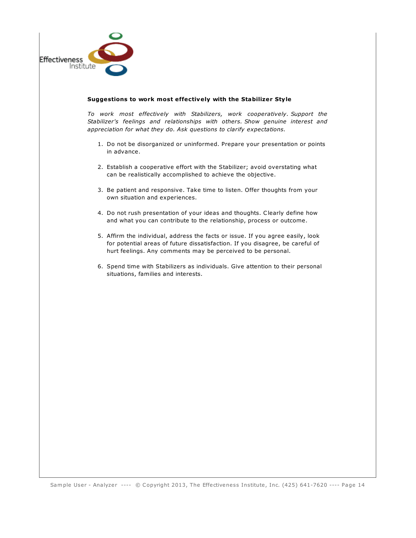

#### **Suggestions to work most effectively with the Stabilizer Style**

*To work most effectively with Stabilizers, work cooperatively. Support the Stabilizer's feelings and relationships with others. Show genuine interest and appreciation for what they do. Ask questions to clarify expectations.*

- 1. Do not be disorganized or uninformed. Prepare your presentation or points in advance.
- 2. Establish a cooperative effort with the Stabilizer; avoid overstating what can be realistically accomplished to achieve the objective.
- 3. Be patient and responsive. Take time to listen. Offer thoughts from your own situation and experiences.
- 4. Do not rush presentation of your ideas and thoughts. Clearly define how and what you can contribute to the relationship, process or outcome.
- 5. Affirm the individual, address the facts or issue. If you agree easily, look for potential areas of future dissatisfaction. If you disagree, be careful of hurt feelings. Any comments may be perceived to be personal.
- 6. Spend time with Stabilizers as individuals. Give attention to their personal situations, families and interests.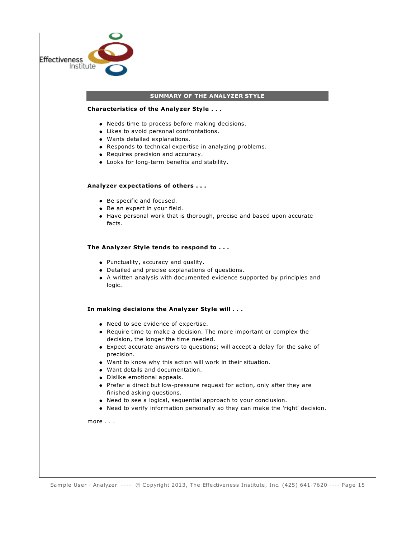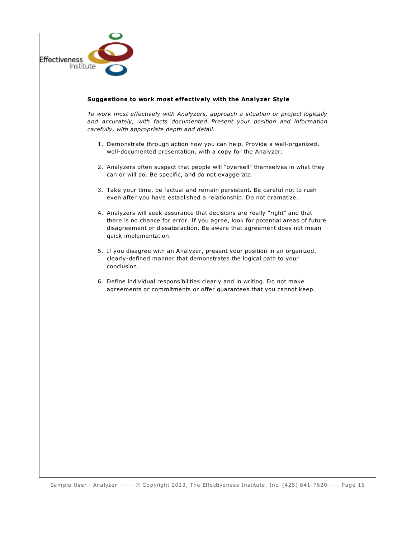

#### **Suggestions to work most effectively with the Analyzer Style**

*To work most effectively with Analyzers, approach a situation or project logically and accurately, with facts documented. Present your position and information carefully, with appropriate depth and detail.*

- 1. Demonstrate through action how you can help. Provide a well-organized, well-documented presentation, with a copy for the Analyzer.
- 2. Analyzers often suspect that people will "oversell" themselves in what they can or will do. Be specific, and do not exaggerate.
- 3. Take your time, be factual and remain persistent. Be careful not to rush even after you have established a relationship. Do not dramatize.
- 4. Analyzers will seek assurance that decisions are really "right" and that there is no chance for error. If you agree, look for potential areas of future disagreement or dissatisfaction. Be aware that agreement does not mean quick implementation.
- 5. If you disagree with an Analyzer, present your position in an organized, clearly-defined manner that demonstrates the logical path to your conclusion.
- 6. Define individual responsibilities clearly and in writing. Do not make agreements or commitments or offer guarantees that you cannot keep.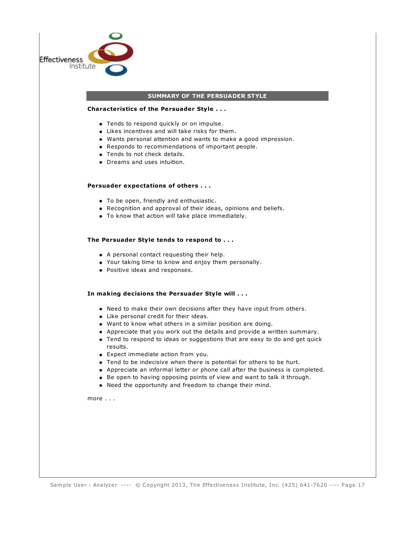| <b>Effectiveness</b><br>Institute |                                                                                                                                                                                                                                                                                                                                                                                                                                                                                                                                                                                                                                                                                                   |
|-----------------------------------|---------------------------------------------------------------------------------------------------------------------------------------------------------------------------------------------------------------------------------------------------------------------------------------------------------------------------------------------------------------------------------------------------------------------------------------------------------------------------------------------------------------------------------------------------------------------------------------------------------------------------------------------------------------------------------------------------|
|                                   |                                                                                                                                                                                                                                                                                                                                                                                                                                                                                                                                                                                                                                                                                                   |
|                                   | SUMMARY OF THE PERSUADER STYLE                                                                                                                                                                                                                                                                                                                                                                                                                                                                                                                                                                                                                                                                    |
|                                   | Characteristics of the Persuader Style                                                                                                                                                                                                                                                                                                                                                                                                                                                                                                                                                                                                                                                            |
|                                   | • Tends to respond quickly or on impulse.<br>• Likes incentives and will take risks for them.<br>• Wants personal attention and wants to make a good impression.<br>• Responds to recommendations of important people.<br>• Tends to not check details.<br>• Dreams and uses intuition.                                                                                                                                                                                                                                                                                                                                                                                                           |
|                                   | Persuader expectations of others                                                                                                                                                                                                                                                                                                                                                                                                                                                                                                                                                                                                                                                                  |
|                                   | • To be open, friendly and enthusiastic.<br>• Recognition and approval of their ideas, opinions and beliefs.<br>• To know that action will take place immediately.                                                                                                                                                                                                                                                                                                                                                                                                                                                                                                                                |
|                                   | The Persuader Style tends to respond to                                                                                                                                                                                                                                                                                                                                                                                                                                                                                                                                                                                                                                                           |
|                                   | • A personal contact requesting their help.<br>• Your taking time to know and enjoy them personally.<br>• Positive ideas and responses.                                                                                                                                                                                                                                                                                                                                                                                                                                                                                                                                                           |
|                                   | In making decisions the Persuader Style will                                                                                                                                                                                                                                                                                                                                                                                                                                                                                                                                                                                                                                                      |
|                                   | • Need to make their own decisions after they have input from others.<br>• Like personal credit for their ideas.<br>• Want to know what others in a similar position are doing.<br>• Appreciate that you work out the details and provide a written summary<br>• Tend to respond to ideas or suggestions that are easy to do and get quick<br>results.<br>• Expect immediate action from you.<br>• Tend to be indecisive when there is potential for others to be hurt.<br>• Appreciate an informal letter or phone call after the business is completed.<br>• Be open to having opposing points of view and want to talk it through.<br>• Need the opportunity and freedom to change their mind. |
|                                   | more $\dots$                                                                                                                                                                                                                                                                                                                                                                                                                                                                                                                                                                                                                                                                                      |
|                                   |                                                                                                                                                                                                                                                                                                                                                                                                                                                                                                                                                                                                                                                                                                   |
|                                   |                                                                                                                                                                                                                                                                                                                                                                                                                                                                                                                                                                                                                                                                                                   |
|                                   |                                                                                                                                                                                                                                                                                                                                                                                                                                                                                                                                                                                                                                                                                                   |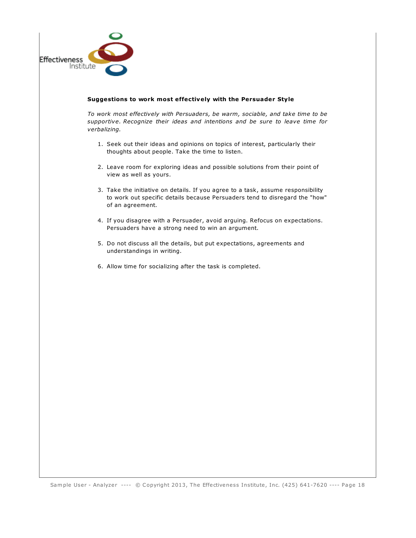

#### **Suggestions to work most effectively with the Persuader Style**

*To work most effectively with Persuaders, be warm, sociable, and take time to be supportive. Recognize their ideas and intentions and be sure to leave time for verbalizing.*

- 1. Seek out their ideas and opinions on topics of interest, particularly their thoughts about people. Take the time to listen.
- 2. Leave room for exploring ideas and possible solutions from their point of view as well as yours.
- 3. Take the initiative on details. If you agree to a task, assume responsibility to work out specific details because Persuaders tend to disregard the "how" of an agreement.
- 4. If you disagree with a Persuader, avoid arguing. Refocus on expectations. Persuaders have a strong need to win an argument.
- 5. Do not discuss all the details, but put expectations, agreements and understandings in writing.
- 6. Allow time for socializing after the task is completed.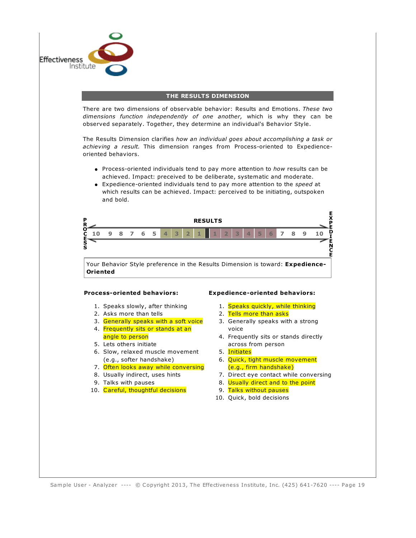

#### **THE RESULTS DIMENSION**

There are two dimensions of observable behavior: Results and Emotions. *These two dimensions function independently of one another,* which is why they can be observed separately. Together, they determine an individual's Behavior Style.

The Results Dimension clarifies *how an individual goes about accomplishing a task or achieving a result.* This dimension ranges from Process-oriented to Expedienceoriented behaviors.

- Process-oriented individuals tend to pay more attention to *how* results can be achieved. Impact: preceived to be deliberate, systematic and moderate.
- Expedience-oriented individuals tend to pay more attention to the *speed* at which results can be achieved. Impact: perceived to be initiating, outspoken and bold.



#### **Process-oriented behaviors:**

- 1. Speaks slowly, after thinking
- 2. Asks more than tells
- 3. Generally speaks with a soft voice
- 4. Frequently sits or stands at an angle to person
- 5. Lets others initiate
- 6. Slow, relaxed muscle movement (e.g., softer handshake)
- 7. Often looks away while conversing
- 8. Usually indirect, uses hints
- 9. Talks with pauses
- 10. Careful, thoughtful decisions

#### **Expedience-oriented behaviors:**

- 1. Speaks quickly, while thinking
- 2. Tells more than asks
- 3. Generally speaks with a strong voice
- 4. Frequently sits or stands directly across from person
- 5. Initiates
- 6. Quick, tight muscle movement (e.g., firm handshake)
- 7. Direct eye contact while conversing
- 8. Usually direct and to the point
- 9. Talks without pauses
- 10. Quick, bold decisions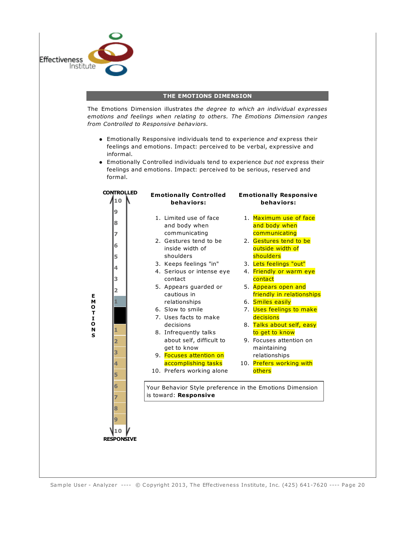

#### **THE EMOTIONS DIMENSION**

The Emotions Dimension illustrates *the degree to which an individual expresses emotions and feelings when relating to others. The Emotions Dimension ranges from Controlled to Responsive behaviors.*

- Emotionally Responsive individuals tend to experience *and* express their feelings and emotions. Impact: perceived to be verbal, expressive and informal.
- Emotionally Controlled individuals tend to experience *but not* express their feelings and emotions. Impact: perceived to be serious, reserved and formal.

| 9<br>1. Limited use of face<br>8<br>and body when<br>and body when<br>communicating<br>communicating<br>7<br>2. Gestures tend to be<br>6<br>inside width of<br>outside width of<br>shoulders<br>shoulders<br>5<br>3. Keeps feelings "in"<br>3. Lets feelings "out"<br>4<br>4. Serious or intense eye<br>3<br>contact<br>contact<br>5. Appears guarded or<br>5. Appears open and<br>2<br>cautious in<br>Е                                                                            | <b>CONTROLLED</b><br>10 | <b>Emotionally Controlled</b><br>behaviors: | <b>Emotionally Responsive</b><br>behaviors:                                                                                                                                                                              |
|-------------------------------------------------------------------------------------------------------------------------------------------------------------------------------------------------------------------------------------------------------------------------------------------------------------------------------------------------------------------------------------------------------------------------------------------------------------------------------------|-------------------------|---------------------------------------------|--------------------------------------------------------------------------------------------------------------------------------------------------------------------------------------------------------------------------|
| м<br>6. Smiles easily<br>relationships<br>ο<br>6. Slow to smile<br>T<br>decisions<br>7. Uses facts to make<br>1<br>$\mathbf{o}$<br>decisions<br>N<br>to get to know<br>8. Infrequently talks<br>S<br>about self, difficult to<br>2<br>get to know<br>maintaining<br>3<br>9. Focuses attention on<br>relationships<br>accomplishing tasks<br>4<br>others<br>10. Prefers working alone<br>5<br>6<br>Your Behavior Style preference in the Emotions Dimension<br>is toward: Responsive |                         |                                             | 1. Maximum use of face<br>2. Gestures tend to be<br>4. Friendly or warm eye<br>friendly in relationships<br>7. Uses feelings to make<br>8. Talks about self, easy<br>9. Focuses attention on<br>10. Prefers working with |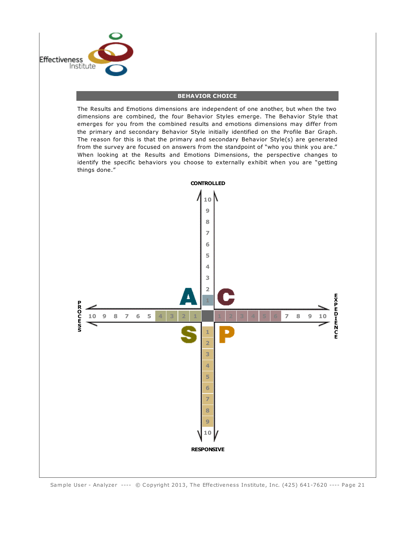

#### **BEHAVIOR CHOICE**

The Results and Emotions dimensions are independent of one another, but when the two dimensions are combined, the four Behavior Styles emerge. The Behavior Style that emerges for you from the combined results and emotions dimensions may differ from the primary and secondary Behavior Style initially identified on the Profile Bar Graph. The reason for this is that the primary and secondary Behavior Style(s) are generated from the survey are focused on answers from the standpoint of "who you think you are." When looking at the Results and Emotions Dimensions, the perspective changes to identify the specific behaviors you choose to externally exhibit when you are "getting things done."

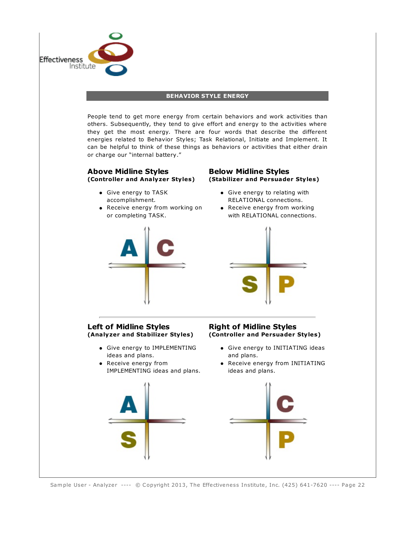

Sample User - Analyzer ---- © Copyright 2013, The Effectiveness Institute, Inc. (425) 641-7620 ---- Page 22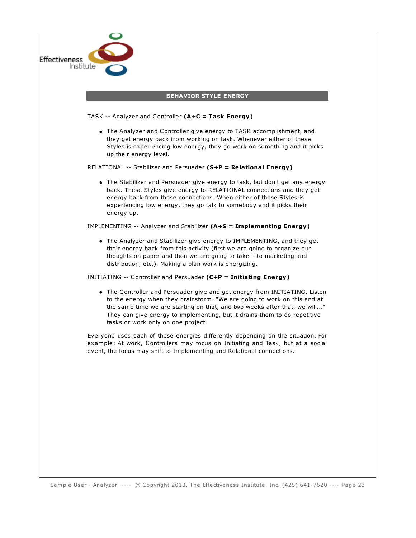| TASK -- Analyzer and Controller (A+C = Task Energy)<br>• The Analyzer and Controller give energy to TASK accomplishment, and<br>they get energy back from working on task. Whenever either of these<br>up their energy level.<br>RELATIONAL -- Stabilizer and Persuader (S+P = Relational Energy)<br>back. These Styles give energy to RELATIONAL connections and they get<br>energy back from these connections. When either of these Styles is<br>experiencing low energy, they go talk to somebody and it picks their<br>energy up.<br>IMPLEMENTING -- Analyzer and Stabilizer (A+S = Implementing Energy)<br>• The Analyzer and Stabilizer give energy to IMPLEMENTING, and they get<br>their energy back from this activity (first we are going to organize our<br>thoughts on paper and then we are going to take it to marketing and<br>distribution, etc.). Making a plan work is energizing.<br>INITIATING -- Controller and Persuader (C+P = Initiating Energy)<br>They can give energy to implementing, but it drains them to do repetitive<br>tasks or work only on one project.<br>event, the focus may shift to Implementing and Relational connections. | <b>BEHAVIOR STYLE ENERGY</b> |
|------------------------------------------------------------------------------------------------------------------------------------------------------------------------------------------------------------------------------------------------------------------------------------------------------------------------------------------------------------------------------------------------------------------------------------------------------------------------------------------------------------------------------------------------------------------------------------------------------------------------------------------------------------------------------------------------------------------------------------------------------------------------------------------------------------------------------------------------------------------------------------------------------------------------------------------------------------------------------------------------------------------------------------------------------------------------------------------------------------------------------------------------------------------------|------------------------------|
| Styles is experiencing low energy, they go work on something and it picks                                                                                                                                                                                                                                                                                                                                                                                                                                                                                                                                                                                                                                                                                                                                                                                                                                                                                                                                                                                                                                                                                              |                              |
| • The Stabilizer and Persuader give energy to task, but don't get any energy<br>to the energy when they brainstorm. "We are going to work on this and at                                                                                                                                                                                                                                                                                                                                                                                                                                                                                                                                                                                                                                                                                                                                                                                                                                                                                                                                                                                                               |                              |
|                                                                                                                                                                                                                                                                                                                                                                                                                                                                                                                                                                                                                                                                                                                                                                                                                                                                                                                                                                                                                                                                                                                                                                        |                              |
|                                                                                                                                                                                                                                                                                                                                                                                                                                                                                                                                                                                                                                                                                                                                                                                                                                                                                                                                                                                                                                                                                                                                                                        |                              |
|                                                                                                                                                                                                                                                                                                                                                                                                                                                                                                                                                                                                                                                                                                                                                                                                                                                                                                                                                                                                                                                                                                                                                                        |                              |
|                                                                                                                                                                                                                                                                                                                                                                                                                                                                                                                                                                                                                                                                                                                                                                                                                                                                                                                                                                                                                                                                                                                                                                        |                              |
| • The Controller and Persuader give and get energy from INITIATING. Listen<br>the same time we are starting on that, and two weeks after that, we will"<br>Everyone uses each of these energies differently depending on the situation. For<br>example: At work, Controllers may focus on Initiating and Task, but at a social                                                                                                                                                                                                                                                                                                                                                                                                                                                                                                                                                                                                                                                                                                                                                                                                                                         |                              |
|                                                                                                                                                                                                                                                                                                                                                                                                                                                                                                                                                                                                                                                                                                                                                                                                                                                                                                                                                                                                                                                                                                                                                                        |                              |
|                                                                                                                                                                                                                                                                                                                                                                                                                                                                                                                                                                                                                                                                                                                                                                                                                                                                                                                                                                                                                                                                                                                                                                        |                              |
|                                                                                                                                                                                                                                                                                                                                                                                                                                                                                                                                                                                                                                                                                                                                                                                                                                                                                                                                                                                                                                                                                                                                                                        |                              |
|                                                                                                                                                                                                                                                                                                                                                                                                                                                                                                                                                                                                                                                                                                                                                                                                                                                                                                                                                                                                                                                                                                                                                                        |                              |
|                                                                                                                                                                                                                                                                                                                                                                                                                                                                                                                                                                                                                                                                                                                                                                                                                                                                                                                                                                                                                                                                                                                                                                        |                              |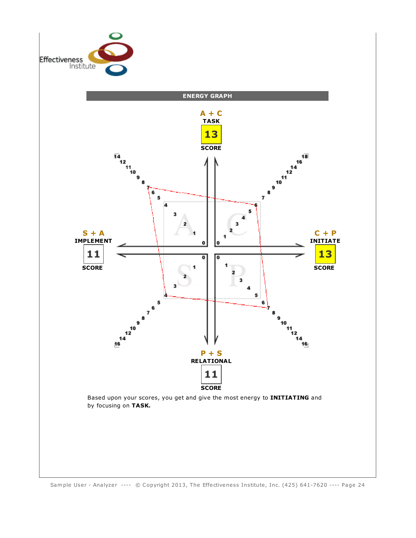

Sample User - Analyzer ---- © Copyright 2013, The Effectiveness Institute, Inc. (425) 641-7620 ---- Page 24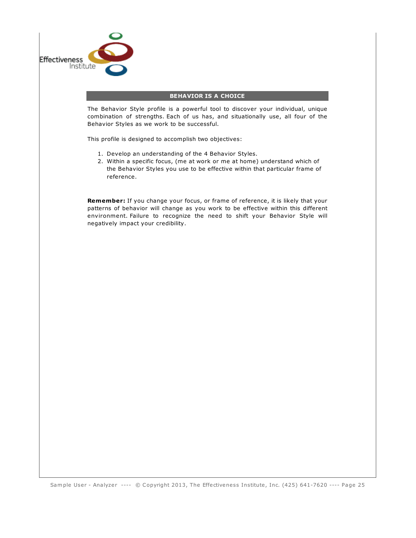

#### **BEHAVIOR IS A CHOICE**

The Behavior Style profile is a powerful tool to discover your individual, unique combination of strengths. Each of us has, and situationally use, all four of the Behavior Styles as we work to be successful.

This profile is designed to accomplish two objectives:

- 1. Develop an understanding of the 4 Behavior Styles.
- 2. Within a specific focus, (me at work or me at home) understand which of the Behavior Styles you use to be effective within that particular frame of reference.

**Remember:** If you change your focus, or frame of reference, it is likely that your patterns of behavior will change as you work to be effective within this different environment. Failure to recognize the need to shift your Behavior Style will negatively impact your credibility.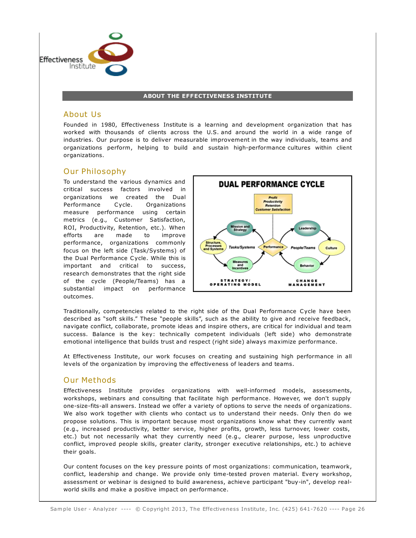

#### **ABOUT THE EFFECTIVENESS INSTITUTE**

#### About Us

Founded in 1980, Effectiveness Institute is a learning and development organization that has worked with thousands of clients across the U.S. and around the world in a wide range of industries. Our purpose is to deliver measurable improvement in the way individuals, teams and organizations perform, helping to build and sustain high-performance cultures within client organizations.

#### Our Philosophy

To understand the various dynamics and critical success factors involved in organizations we created the Dual Performance Cycle. Organizations measure performance using certain metrics (e.g., Customer Satisfaction, ROI, Productivity, Retention, etc.). When efforts are made to improve performance, organizations commonly focus on the left side (Task/Systems) of the Dual Performance Cycle. While this is important and critical to success, research demonstrates that the right side of the cycle (People/Teams) has a substantial impact on performance outcomes.



Traditionally, competencies related to the right side of the Dual Performance Cycle have been described as "soft skills." These "people skills", such as the ability to give and receive feedback, navigate conflict, collaborate, promote ideas and inspire others, are critical for individual and team success. Balance is the key: technically competent individuals (left side) who demonstrate emotional intelligence that builds trust and respect (right side) always maximize performance.

At Effectiveness Institute, our work focuses on creating and sustaining high performance in all levels of the organization by improving the effectiveness of leaders and teams.

#### Our Methods

Effectiveness Institute provides organizations with well-informed models, assessments, workshops, webinars and consulting that facilitate high performance. However, we don't supply one-size-fits-all answers. Instead we offer a variety of options to serve the needs of organizations. We also work together with clients who contact us to understand their needs. Only then do we propose solutions. This is important because most organizations know what they currently want (e.g., increased productivity, better service, higher profits, growth, less turnover, lower costs, etc.) but not necessarily what they currently need (e.g., clearer purpose, less unproductive conflict, improved people skills, greater clarity, stronger executive relationships, etc.) to achieve their goals.

Our content focuses on the key pressure points of most organizations: communication, teamwork, conflict, leadership and change. We provide only time-tested proven material. Every workshop, assessment or webinar is designed to build awareness, achieve participant "buy-in", develop realworld skills and make a positive impact on performance.